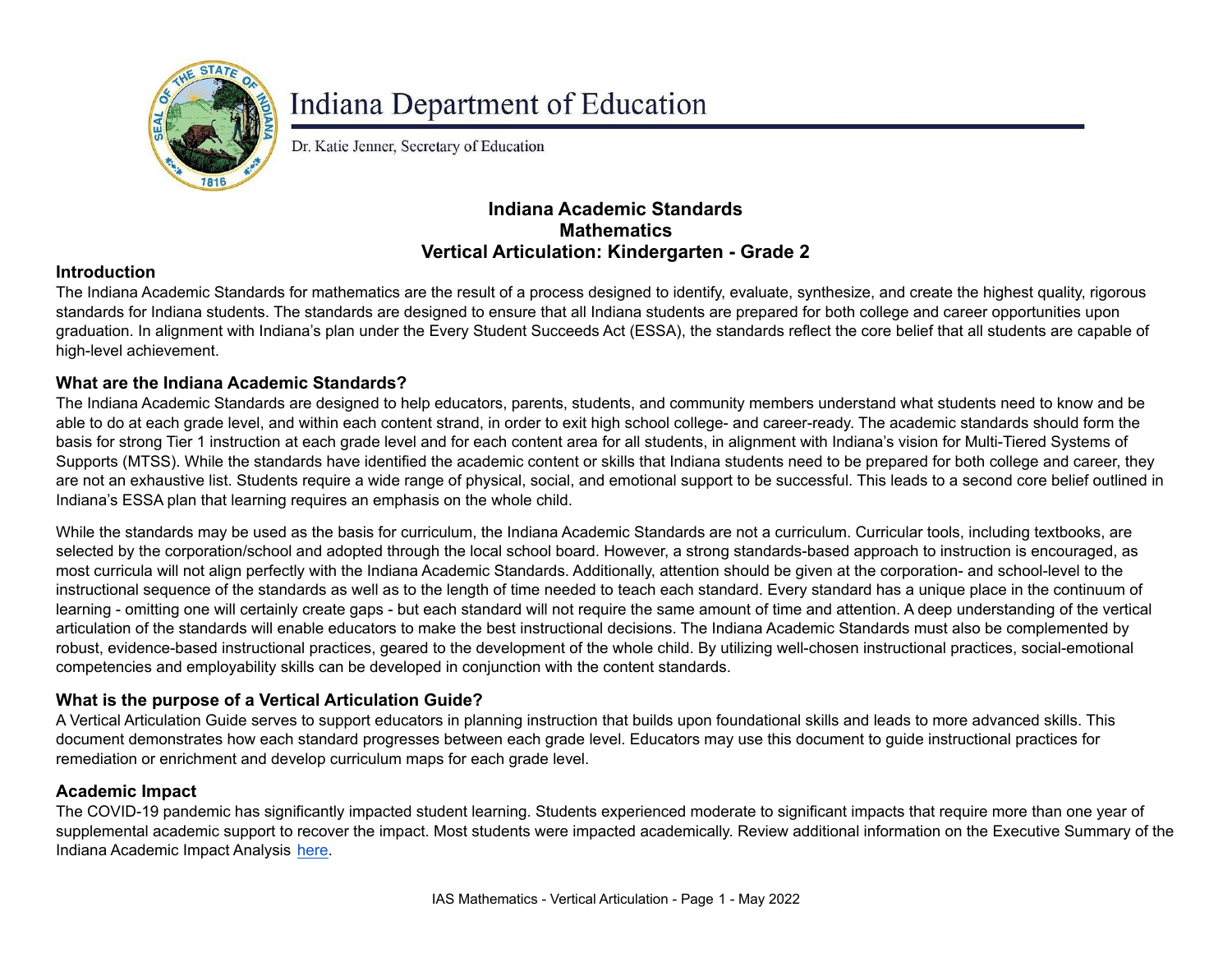

# **Indiana Department of Education**

Dr. Katie Jenner, Secretary of Education

## **Indiana Academic Standards Mathematics Vertical Articulation: Kindergarten - Grade 2**

#### **Introduction**

The Indiana Academic Standards for mathematics are the result of a process designed to identify, evaluate, synthesize, and create the highest quality, rigorous standards for Indiana students. The standards are designed to ensure that all Indiana students are prepared for both college and career opportunities upon graduation. In alignment with Indiana's plan under the Every Student Succeeds Act (ESSA), the standards reflect the core belief that all students are capable of high-level achievement.

#### **What are the Indiana Academic Standards?**

The Indiana Academic Standards are designed to help educators, parents, students, and community members understand what students need to know and be able to do at each grade level, and within each content strand, in order to exit high school college- and career-ready. The academic standards should form the basis for strong Tier 1 instruction at each grade level and for each content area for all students, in alignment with Indiana's vision for Multi-Tiered Systems of Supports (MTSS). While the standards have identified the academic content or skills that Indiana students need to be prepared for both college and career, they are not an exhaustive list. Students require a wide range of physical, social, and emotional support to be successful. This leads to a second core belief outlined in Indiana's ESSA plan that learning requires an emphasis on the whole child.

While the standards may be used as the basis for curriculum, the Indiana Academic Standards are not a curriculum. Curricular tools, including textbooks, are selected by the corporation/school and adopted through the local school board. However, a strong standards-based approach to instruction is encouraged, as most curricula will not align perfectly with the Indiana Academic Standards. Additionally, attention should be given at the corporation- and school-level to the instructional sequence of the standards as well as to the length of time needed to teach each standard. Every standard has a unique place in the continuum of learning - omitting one will certainly create gaps - but each standard will not require the same amount of time and attention. A deep understanding of the vertical articulation of the standards will enable educators to make the best instructional decisions. The Indiana Academic Standards must also be complemented by robust, evidence-based instructional practices, geared to the development of the whole child. By utilizing well-chosen instructional practices, social-emotional competencies and employability skills can be developed in conjunction with the content standards.

### **What is the purpose of a Vertical Articulation Guide?**

A Vertical Articulation Guide serves to support educators in planning instruction that builds upon foundational skills and leads to more advanced skills. This document demonstrates how each standard progresses between each grade level. Educators may use this document to guide instructional practices for remediation or enrichment and develop curriculum maps for each grade level.

#### **Academic Impact**

The COVID-19 pandemic has significantly impacted student learning. Students experienced moderate to significant impacts that require more than one year of supplemental academic support to recover the impact. Most students were impacted academically. Review additional information on the Executive Summary of the Indiana Academic Impact Analysis [here](https://media.doe.in.gov/assessment/7.14.21-sboe-presentation.pdf).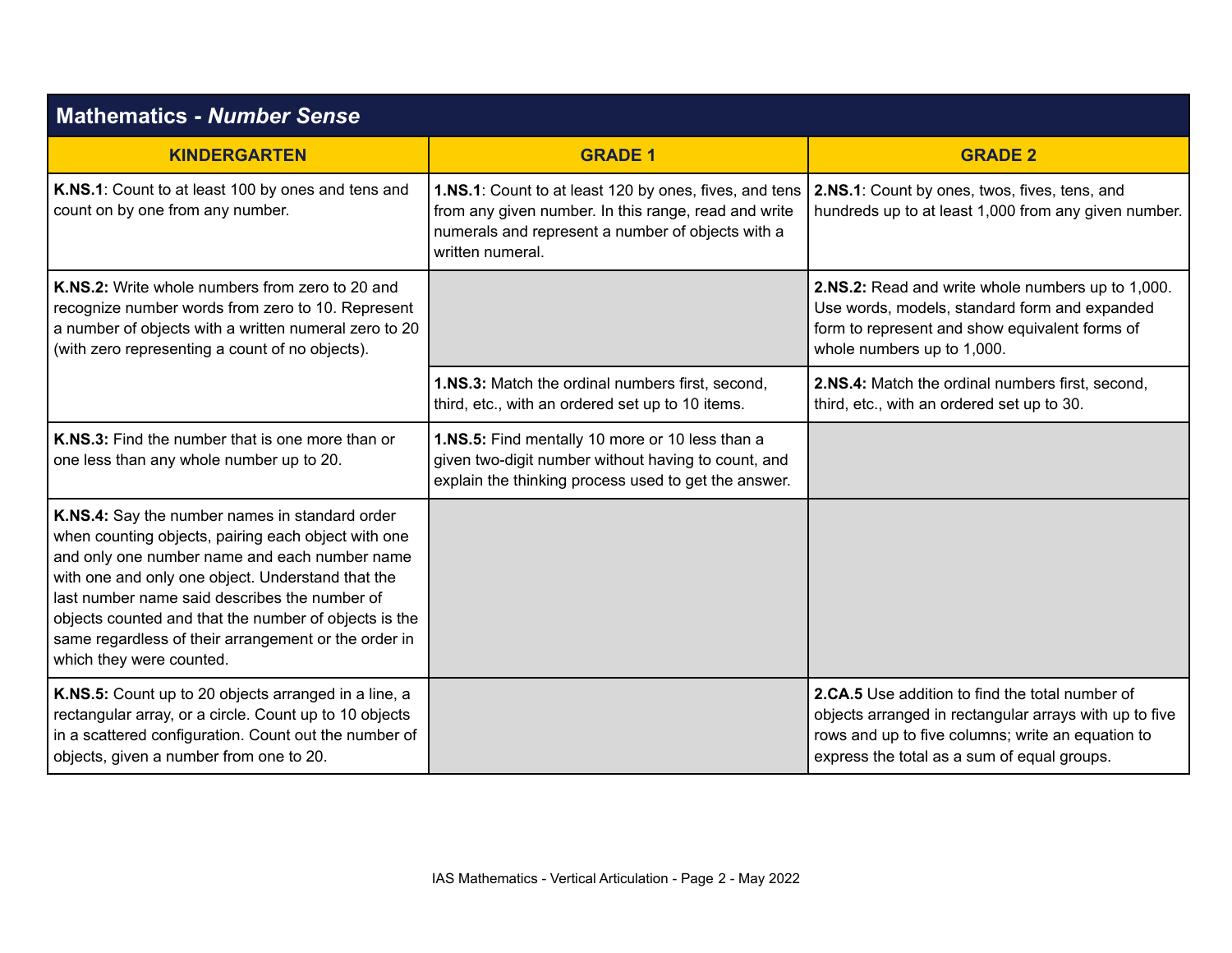| <b>Mathematics - Number Sense</b>                                                                                                                                                                                                                                                                                                                                                                         |                                                                                                                                                                                         |                                                                                                                                                                                                               |
|-----------------------------------------------------------------------------------------------------------------------------------------------------------------------------------------------------------------------------------------------------------------------------------------------------------------------------------------------------------------------------------------------------------|-----------------------------------------------------------------------------------------------------------------------------------------------------------------------------------------|---------------------------------------------------------------------------------------------------------------------------------------------------------------------------------------------------------------|
| <b>KINDERGARTEN</b>                                                                                                                                                                                                                                                                                                                                                                                       | <b>GRADE 1</b>                                                                                                                                                                          | <b>GRADE 2</b>                                                                                                                                                                                                |
| K.NS.1: Count to at least 100 by ones and tens and<br>count on by one from any number.                                                                                                                                                                                                                                                                                                                    | 1.NS.1: Count to at least 120 by ones, fives, and tens<br>from any given number. In this range, read and write<br>numerals and represent a number of objects with a<br>written numeral. | 2.NS.1: Count by ones, twos, fives, tens, and<br>hundreds up to at least 1,000 from any given number.                                                                                                         |
| <b>K.NS.2:</b> Write whole numbers from zero to 20 and<br>recognize number words from zero to 10. Represent<br>a number of objects with a written numeral zero to 20<br>(with zero representing a count of no objects).                                                                                                                                                                                   |                                                                                                                                                                                         | 2.NS.2: Read and write whole numbers up to 1,000.<br>Use words, models, standard form and expanded<br>form to represent and show equivalent forms of<br>whole numbers up to 1,000.                            |
|                                                                                                                                                                                                                                                                                                                                                                                                           | 1.NS.3: Match the ordinal numbers first, second,<br>third, etc., with an ordered set up to 10 items.                                                                                    | 2.NS.4: Match the ordinal numbers first, second,<br>third, etc., with an ordered set up to 30.                                                                                                                |
| K.NS.3: Find the number that is one more than or<br>one less than any whole number up to 20.                                                                                                                                                                                                                                                                                                              | 1.NS.5: Find mentally 10 more or 10 less than a<br>given two-digit number without having to count, and<br>explain the thinking process used to get the answer.                          |                                                                                                                                                                                                               |
| K.NS.4: Say the number names in standard order<br>when counting objects, pairing each object with one<br>and only one number name and each number name<br>with one and only one object. Understand that the<br>last number name said describes the number of<br>objects counted and that the number of objects is the<br>same regardless of their arrangement or the order in<br>which they were counted. |                                                                                                                                                                                         |                                                                                                                                                                                                               |
| K.NS.5: Count up to 20 objects arranged in a line, a<br>rectangular array, or a circle. Count up to 10 objects<br>in a scattered configuration. Count out the number of<br>objects, given a number from one to 20.                                                                                                                                                                                        |                                                                                                                                                                                         | 2.CA.5 Use addition to find the total number of<br>objects arranged in rectangular arrays with up to five<br>rows and up to five columns; write an equation to<br>express the total as a sum of equal groups. |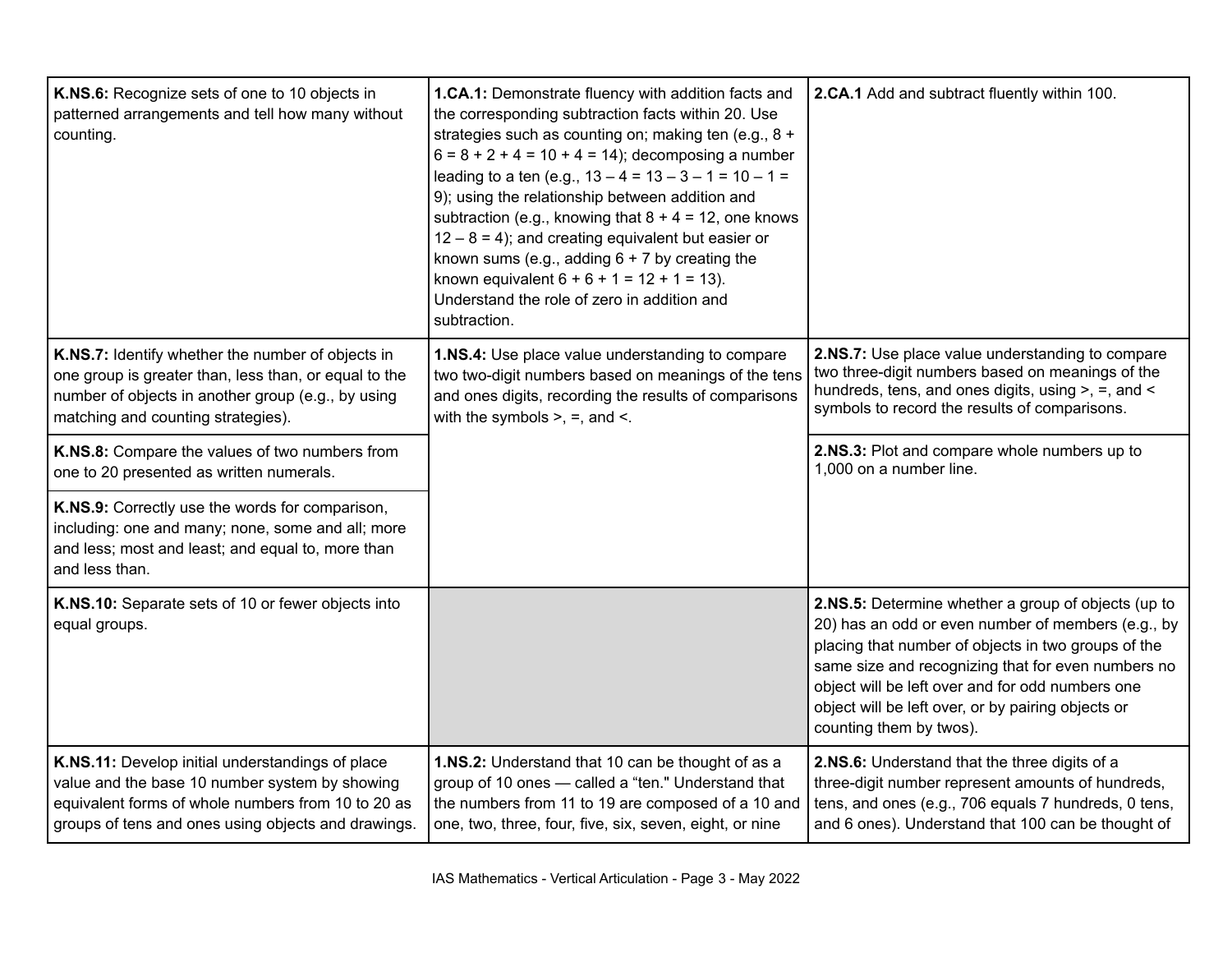| K.NS.6: Recognize sets of one to 10 objects in<br>patterned arrangements and tell how many without<br>counting.                                                                                                 | 1.CA.1: Demonstrate fluency with addition facts and<br>the corresponding subtraction facts within 20. Use<br>strategies such as counting on; making ten (e.g., 8 +<br>$6 = 8 + 2 + 4 = 10 + 4 = 14$ ; decomposing a number<br>leading to a ten (e.g., $13 - 4 = 13 - 3 - 1 = 10 - 1 =$<br>9); using the relationship between addition and<br>subtraction (e.g., knowing that $8 + 4 = 12$ , one knows<br>$12 - 8 = 4$ ; and creating equivalent but easier or<br>known sums (e.g., adding $6 + 7$ by creating the<br>known equivalent $6 + 6 + 1 = 12 + 1 = 13$ ).<br>Understand the role of zero in addition and<br>subtraction. | 2.CA.1 Add and subtract fluently within 100.                                                                                                                                                                                                                                                                                                                |
|-----------------------------------------------------------------------------------------------------------------------------------------------------------------------------------------------------------------|-----------------------------------------------------------------------------------------------------------------------------------------------------------------------------------------------------------------------------------------------------------------------------------------------------------------------------------------------------------------------------------------------------------------------------------------------------------------------------------------------------------------------------------------------------------------------------------------------------------------------------------|-------------------------------------------------------------------------------------------------------------------------------------------------------------------------------------------------------------------------------------------------------------------------------------------------------------------------------------------------------------|
| K.NS.7: Identify whether the number of objects in<br>one group is greater than, less than, or equal to the<br>number of objects in another group (e.g., by using<br>matching and counting strategies).          | 1.NS.4: Use place value understanding to compare<br>two two-digit numbers based on meanings of the tens<br>and ones digits, recording the results of comparisons<br>with the symbols $>$ , $=$ , and $\lt$ .                                                                                                                                                                                                                                                                                                                                                                                                                      | 2.NS.7: Use place value understanding to compare<br>two three-digit numbers based on meanings of the<br>hundreds, tens, and ones digits, using >, =, and <<br>symbols to record the results of comparisons.                                                                                                                                                 |
| K.NS.8: Compare the values of two numbers from<br>one to 20 presented as written numerals.                                                                                                                      |                                                                                                                                                                                                                                                                                                                                                                                                                                                                                                                                                                                                                                   | 2.NS.3: Plot and compare whole numbers up to<br>1,000 on a number line.                                                                                                                                                                                                                                                                                     |
| K.NS.9: Correctly use the words for comparison,<br>including: one and many; none, some and all; more<br>and less; most and least; and equal to, more than<br>and less than.                                     |                                                                                                                                                                                                                                                                                                                                                                                                                                                                                                                                                                                                                                   |                                                                                                                                                                                                                                                                                                                                                             |
| K.NS.10: Separate sets of 10 or fewer objects into<br>equal groups.                                                                                                                                             |                                                                                                                                                                                                                                                                                                                                                                                                                                                                                                                                                                                                                                   | 2.NS.5: Determine whether a group of objects (up to<br>20) has an odd or even number of members (e.g., by<br>placing that number of objects in two groups of the<br>same size and recognizing that for even numbers no<br>object will be left over and for odd numbers one<br>object will be left over, or by pairing objects or<br>counting them by twos). |
| K.NS.11: Develop initial understandings of place<br>value and the base 10 number system by showing<br>equivalent forms of whole numbers from 10 to 20 as<br>groups of tens and ones using objects and drawings. | 1.NS.2: Understand that 10 can be thought of as a<br>group of 10 ones - called a "ten." Understand that<br>the numbers from 11 to 19 are composed of a 10 and<br>one, two, three, four, five, six, seven, eight, or nine                                                                                                                                                                                                                                                                                                                                                                                                          | 2.NS.6: Understand that the three digits of a<br>three-digit number represent amounts of hundreds,<br>tens, and ones (e.g., 706 equals 7 hundreds, 0 tens,<br>and 6 ones). Understand that 100 can be thought of                                                                                                                                            |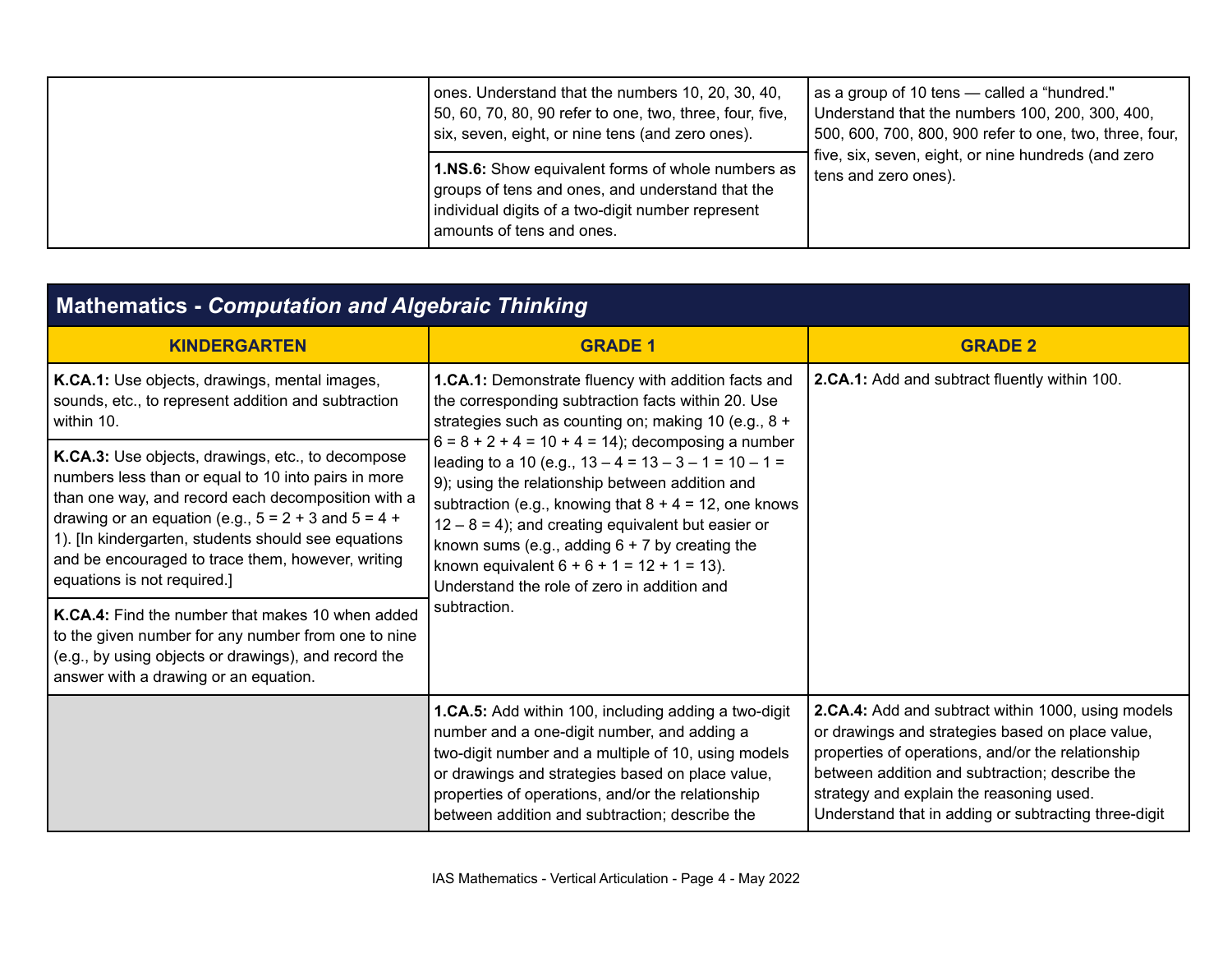| ones. Understand that the numbers 10, 20, 30, 40,<br>50, 60, 70, 80, 90 refer to one, two, three, four, five,<br>six, seven, eight, or nine tens (and zero ones).                              | as a group of 10 tens - called a "hundred."<br>Understand that the numbers 100, 200, 300, 400,<br>500, 600, 700, 800, 900 refer to one, two, three, four, |
|------------------------------------------------------------------------------------------------------------------------------------------------------------------------------------------------|-----------------------------------------------------------------------------------------------------------------------------------------------------------|
| <b>1.NS.6:</b> Show equivalent forms of whole numbers as<br>groups of tens and ones, and understand that the<br>individual digits of a two-digit number represent<br>amounts of tens and ones. | five, six, seven, eight, or nine hundreds (and zero<br>tens and zero ones).                                                                               |

# **Mathematics -** *Computation and Algebraic Thinking*

| <b>KINDERGARTEN</b>                                                                                                                                                                                                                                                                                                                                                    | <b>GRADE 1</b>                                                                                                                                                                                                                                                                                                                                                                                                                              | <b>GRADE 2</b>                                                                                                                                                                                                                                                                                                    |
|------------------------------------------------------------------------------------------------------------------------------------------------------------------------------------------------------------------------------------------------------------------------------------------------------------------------------------------------------------------------|---------------------------------------------------------------------------------------------------------------------------------------------------------------------------------------------------------------------------------------------------------------------------------------------------------------------------------------------------------------------------------------------------------------------------------------------|-------------------------------------------------------------------------------------------------------------------------------------------------------------------------------------------------------------------------------------------------------------------------------------------------------------------|
| K.CA.1: Use objects, drawings, mental images,<br>sounds, etc., to represent addition and subtraction<br>within 10.                                                                                                                                                                                                                                                     | <b>1.CA.1:</b> Demonstrate fluency with addition facts and<br>the corresponding subtraction facts within 20. Use<br>strategies such as counting on; making 10 (e.g., 8 +                                                                                                                                                                                                                                                                    | 2.CA.1: Add and subtract fluently within 100.                                                                                                                                                                                                                                                                     |
| K.CA.3: Use objects, drawings, etc., to decompose<br>numbers less than or equal to 10 into pairs in more<br>than one way, and record each decomposition with a<br>drawing or an equation (e.g., $5 = 2 + 3$ and $5 = 4 + 1$<br>1). [In kindergarten, students should see equations<br>and be encouraged to trace them, however, writing<br>equations is not required.] | $6 = 8 + 2 + 4 = 10 + 4 = 14$ ; decomposing a number<br>leading to a 10 (e.g., $13 - 4 = 13 - 3 - 1 = 10 - 1 =$<br>9); using the relationship between addition and<br>subtraction (e.g., knowing that $8 + 4 = 12$ , one knows<br>$12 - 8 = 4$ ); and creating equivalent but easier or<br>known sums (e.g., adding $6 + 7$ by creating the<br>known equivalent $6 + 6 + 1 = 12 + 1 = 13$ ).<br>Understand the role of zero in addition and |                                                                                                                                                                                                                                                                                                                   |
| K.CA.4: Find the number that makes 10 when added<br>to the given number for any number from one to nine<br>(e.g., by using objects or drawings), and record the<br>answer with a drawing or an equation.                                                                                                                                                               | subtraction.                                                                                                                                                                                                                                                                                                                                                                                                                                |                                                                                                                                                                                                                                                                                                                   |
|                                                                                                                                                                                                                                                                                                                                                                        | <b>1.CA.5:</b> Add within 100, including adding a two-digit<br>number and a one-digit number, and adding a<br>two-digit number and a multiple of 10, using models<br>or drawings and strategies based on place value,<br>properties of operations, and/or the relationship<br>between addition and subtraction; describe the                                                                                                                | 2.CA.4: Add and subtract within 1000, using models<br>or drawings and strategies based on place value,<br>properties of operations, and/or the relationship<br>between addition and subtraction; describe the<br>strategy and explain the reasoning used.<br>Understand that in adding or subtracting three-digit |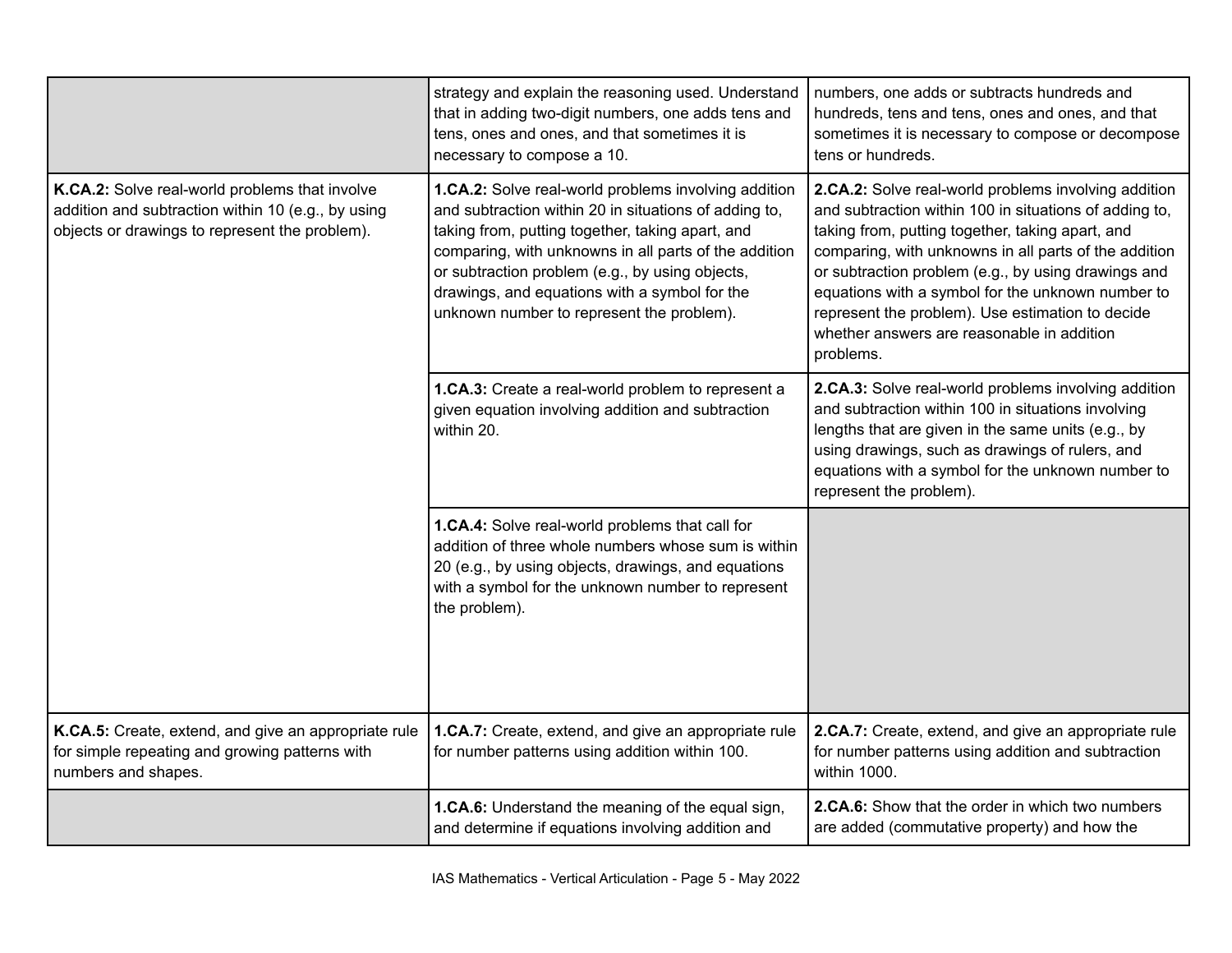|                                                                                                                                                        | strategy and explain the reasoning used. Understand<br>that in adding two-digit numbers, one adds tens and<br>tens, ones and ones, and that sometimes it is<br>necessary to compose a 10.                                                                                                                                                                                   | numbers, one adds or subtracts hundreds and<br>hundreds, tens and tens, ones and ones, and that<br>sometimes it is necessary to compose or decompose<br>tens or hundreds.                                                                                                                                                                                                                                                                              |
|--------------------------------------------------------------------------------------------------------------------------------------------------------|-----------------------------------------------------------------------------------------------------------------------------------------------------------------------------------------------------------------------------------------------------------------------------------------------------------------------------------------------------------------------------|--------------------------------------------------------------------------------------------------------------------------------------------------------------------------------------------------------------------------------------------------------------------------------------------------------------------------------------------------------------------------------------------------------------------------------------------------------|
| K.CA.2: Solve real-world problems that involve<br>addition and subtraction within 10 (e.g., by using<br>objects or drawings to represent the problem). | 1.CA.2: Solve real-world problems involving addition<br>and subtraction within 20 in situations of adding to,<br>taking from, putting together, taking apart, and<br>comparing, with unknowns in all parts of the addition<br>or subtraction problem (e.g., by using objects,<br>drawings, and equations with a symbol for the<br>unknown number to represent the problem). | 2.CA.2: Solve real-world problems involving addition<br>and subtraction within 100 in situations of adding to,<br>taking from, putting together, taking apart, and<br>comparing, with unknowns in all parts of the addition<br>or subtraction problem (e.g., by using drawings and<br>equations with a symbol for the unknown number to<br>represent the problem). Use estimation to decide<br>whether answers are reasonable in addition<br>problems. |
|                                                                                                                                                        | 1.CA.3: Create a real-world problem to represent a<br>given equation involving addition and subtraction<br>within 20.                                                                                                                                                                                                                                                       | 2.CA.3: Solve real-world problems involving addition<br>and subtraction within 100 in situations involving<br>lengths that are given in the same units (e.g., by<br>using drawings, such as drawings of rulers, and<br>equations with a symbol for the unknown number to<br>represent the problem).                                                                                                                                                    |
|                                                                                                                                                        | 1.CA.4: Solve real-world problems that call for<br>addition of three whole numbers whose sum is within<br>20 (e.g., by using objects, drawings, and equations<br>with a symbol for the unknown number to represent<br>the problem).                                                                                                                                         |                                                                                                                                                                                                                                                                                                                                                                                                                                                        |
| K.CA.5: Create, extend, and give an appropriate rule<br>for simple repeating and growing patterns with<br>numbers and shapes.                          | 1.CA.7: Create, extend, and give an appropriate rule<br>for number patterns using addition within 100.                                                                                                                                                                                                                                                                      | 2.CA.7: Create, extend, and give an appropriate rule<br>for number patterns using addition and subtraction<br>within 1000.                                                                                                                                                                                                                                                                                                                             |
|                                                                                                                                                        | 1.CA.6: Understand the meaning of the equal sign,<br>and determine if equations involving addition and                                                                                                                                                                                                                                                                      | 2.CA.6: Show that the order in which two numbers<br>are added (commutative property) and how the                                                                                                                                                                                                                                                                                                                                                       |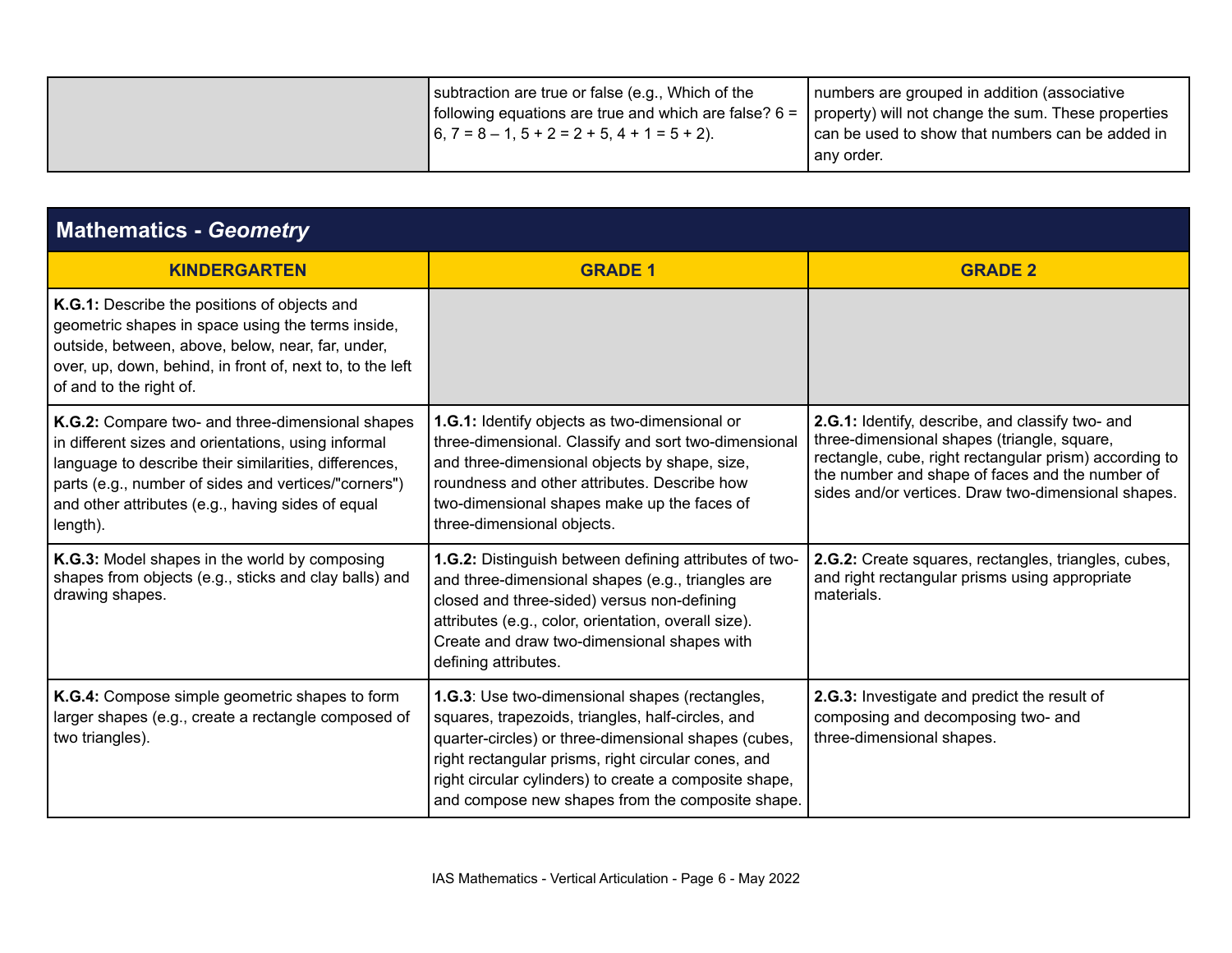| subtraction are true or false (e.g., Which of the<br>following equations are true and which are false? $6 =  $<br>$\begin{bmatrix} 6, 7 = 8 - 1, 5 + 2 = 2 + 5, 4 + 1 = 5 + 2 \end{bmatrix}$ | numbers are grouped in addition (associative<br>property) will not change the sum. These properties<br>can be used to show that numbers can be added in<br>I any order. |
|----------------------------------------------------------------------------------------------------------------------------------------------------------------------------------------------|-------------------------------------------------------------------------------------------------------------------------------------------------------------------------|
|----------------------------------------------------------------------------------------------------------------------------------------------------------------------------------------------|-------------------------------------------------------------------------------------------------------------------------------------------------------------------------|

| <b>Mathematics - Geometry</b>                                                                                                                                                                                                                                                             |                                                                                                                                                                                                                                                                                                                                  |                                                                                                                                                                                                                                                                     |
|-------------------------------------------------------------------------------------------------------------------------------------------------------------------------------------------------------------------------------------------------------------------------------------------|----------------------------------------------------------------------------------------------------------------------------------------------------------------------------------------------------------------------------------------------------------------------------------------------------------------------------------|---------------------------------------------------------------------------------------------------------------------------------------------------------------------------------------------------------------------------------------------------------------------|
| <b>KINDERGARTEN</b>                                                                                                                                                                                                                                                                       | <b>GRADE 1</b>                                                                                                                                                                                                                                                                                                                   | <b>GRADE 2</b>                                                                                                                                                                                                                                                      |
| K.G.1: Describe the positions of objects and<br>geometric shapes in space using the terms inside,<br>outside, between, above, below, near, far, under,<br>over, up, down, behind, in front of, next to, to the left<br>of and to the right of.                                            |                                                                                                                                                                                                                                                                                                                                  |                                                                                                                                                                                                                                                                     |
| K.G.2: Compare two- and three-dimensional shapes<br>in different sizes and orientations, using informal<br>language to describe their similarities, differences,<br>parts (e.g., number of sides and vertices/"corners")<br>and other attributes (e.g., having sides of equal<br>length). | 1.G.1: Identify objects as two-dimensional or<br>three-dimensional. Classify and sort two-dimensional<br>and three-dimensional objects by shape, size,<br>roundness and other attributes. Describe how<br>two-dimensional shapes make up the faces of<br>three-dimensional objects.                                              | 2.G.1: Identify, describe, and classify two- and<br>three-dimensional shapes (triangle, square,<br>rectangle, cube, right rectangular prism) according to<br>the number and shape of faces and the number of<br>sides and/or vertices. Draw two-dimensional shapes. |
| K.G.3: Model shapes in the world by composing<br>shapes from objects (e.g., sticks and clay balls) and<br>drawing shapes.                                                                                                                                                                 | 1.G.2: Distinguish between defining attributes of two-<br>and three-dimensional shapes (e.g., triangles are<br>closed and three-sided) versus non-defining<br>attributes (e.g., color, orientation, overall size).<br>Create and draw two-dimensional shapes with<br>defining attributes.                                        | 2.G.2: Create squares, rectangles, triangles, cubes,<br>and right rectangular prisms using appropriate<br>materials.                                                                                                                                                |
| K.G.4: Compose simple geometric shapes to form<br>larger shapes (e.g., create a rectangle composed of<br>two triangles).                                                                                                                                                                  | 1.G.3: Use two-dimensional shapes (rectangles,<br>squares, trapezoids, triangles, half-circles, and<br>quarter-circles) or three-dimensional shapes (cubes,<br>right rectangular prisms, right circular cones, and<br>right circular cylinders) to create a composite shape,<br>and compose new shapes from the composite shape. | 2.G.3: Investigate and predict the result of<br>composing and decomposing two- and<br>three-dimensional shapes.                                                                                                                                                     |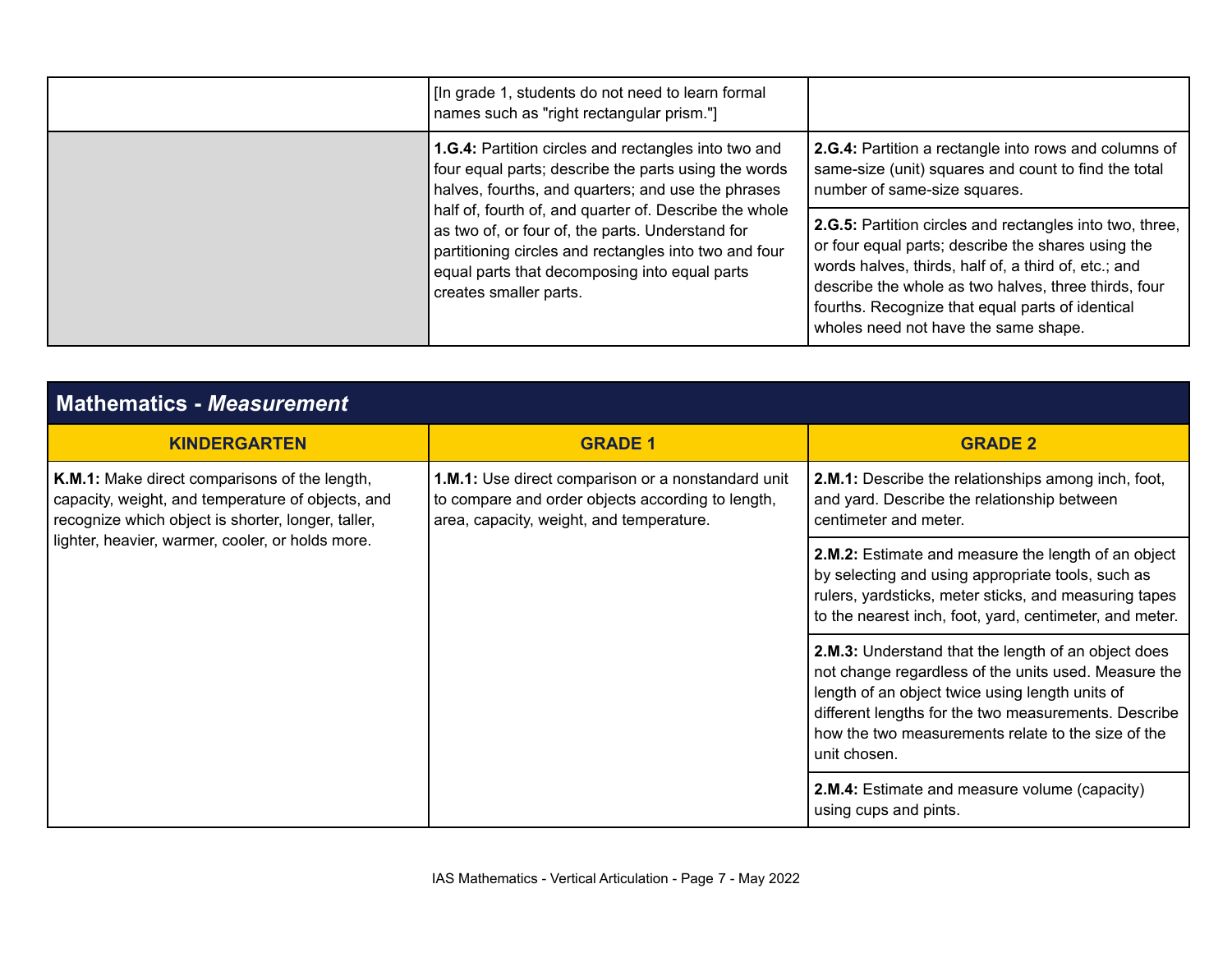| [In grade 1, students do not need to learn formal<br>names such as "right rectangular prism."]                                                                                                                                                 |                                                                                                                                                                                                                                                                                                                            |
|------------------------------------------------------------------------------------------------------------------------------------------------------------------------------------------------------------------------------------------------|----------------------------------------------------------------------------------------------------------------------------------------------------------------------------------------------------------------------------------------------------------------------------------------------------------------------------|
| <b>1.G.4:</b> Partition circles and rectangles into two and<br>four equal parts; describe the parts using the words<br>halves, fourths, and quarters; and use the phrases                                                                      | 2.G.4: Partition a rectangle into rows and columns of<br>same-size (unit) squares and count to find the total<br>number of same-size squares.                                                                                                                                                                              |
| half of, fourth of, and quarter of. Describe the whole<br>as two of, or four of, the parts. Understand for<br>partitioning circles and rectangles into two and four<br>equal parts that decomposing into equal parts<br>creates smaller parts. | 2.G.5: Partition circles and rectangles into two, three,<br>or four equal parts; describe the shares using the<br>words halves, thirds, half of, a third of, etc.; and<br>describe the whole as two halves, three thirds, four<br>fourths. Recognize that equal parts of identical<br>wholes need not have the same shape. |

| <b>Mathematics - Measurement</b>                                                                                                                                                                             |                                                                                                                                                     |                                                                                                                                                                                                                                                                                              |
|--------------------------------------------------------------------------------------------------------------------------------------------------------------------------------------------------------------|-----------------------------------------------------------------------------------------------------------------------------------------------------|----------------------------------------------------------------------------------------------------------------------------------------------------------------------------------------------------------------------------------------------------------------------------------------------|
| <b>KINDERGARTEN</b>                                                                                                                                                                                          | <b>GRADE 1</b>                                                                                                                                      | <b>GRADE 2</b>                                                                                                                                                                                                                                                                               |
| K.M.1: Make direct comparisons of the length,<br>capacity, weight, and temperature of objects, and<br>recognize which object is shorter, longer, taller,<br>lighter, heavier, warmer, cooler, or holds more. | 1.M.1: Use direct comparison or a nonstandard unit<br>to compare and order objects according to length,<br>area, capacity, weight, and temperature. | 2.M.1: Describe the relationships among inch, foot,<br>and yard. Describe the relationship between<br>centimeter and meter.                                                                                                                                                                  |
|                                                                                                                                                                                                              |                                                                                                                                                     | 2.M.2: Estimate and measure the length of an object<br>by selecting and using appropriate tools, such as<br>rulers, yardsticks, meter sticks, and measuring tapes<br>to the nearest inch, foot, yard, centimeter, and meter.                                                                 |
|                                                                                                                                                                                                              |                                                                                                                                                     | 2.M.3: Understand that the length of an object does<br>not change regardless of the units used. Measure the<br>length of an object twice using length units of<br>different lengths for the two measurements. Describe<br>how the two measurements relate to the size of the<br>unit chosen. |
|                                                                                                                                                                                                              |                                                                                                                                                     | 2.M.4: Estimate and measure volume (capacity)<br>using cups and pints.                                                                                                                                                                                                                       |